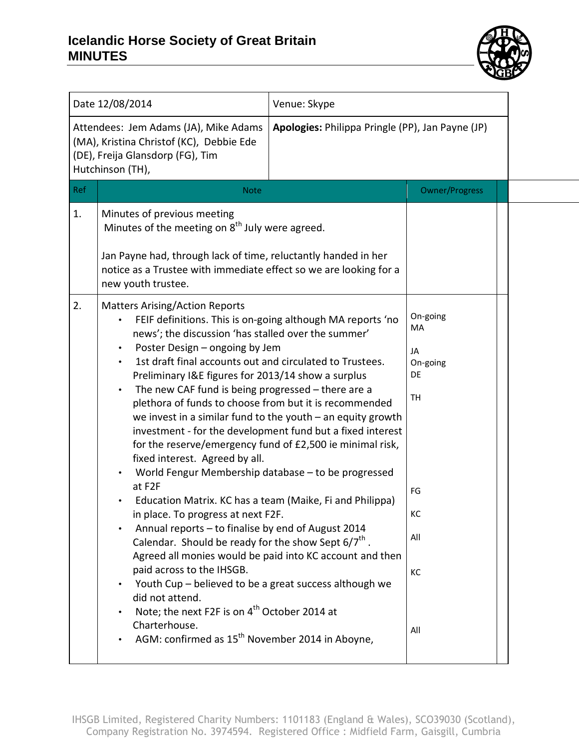

| Date 12/08/2014<br>Venue: Skype<br>Attendees: Jem Adams (JA), Mike Adams<br>Apologies: Philippa Pringle (PP), Jan Payne (JP)<br>(MA), Kristina Christof (KC), Debbie Ede<br>(DE), Freija Glansdorp (FG), Tim<br>Hutchinson (TH),<br>Ref<br><b>Owner/Progress</b><br><b>Note</b><br>Minutes of previous meeting<br>1.<br>Minutes of the meeting on 8 <sup>th</sup> July were agreed.<br>Jan Payne had, through lack of time, reluctantly handed in her<br>notice as a Trustee with immediate effect so we are looking for a<br>new youth trustee.<br>2.<br><b>Matters Arising/Action Reports</b><br>On-going<br>FEIF definitions. This is on-going although MA reports 'no<br>MA<br>news'; the discussion 'has stalled over the summer'<br>Poster Design - ongoing by Jem<br>JA<br>1st draft final accounts out and circulated to Trustees.<br>On-going<br>Preliminary I&E figures for 2013/14 show a surplus<br><b>DE</b><br>The new CAF fund is being progressed $-$ there are a<br>TH<br>plethora of funds to choose from but it is recommended<br>we invest in a similar fund to the youth $-$ an equity growth<br>investment - for the development fund but a fixed interest<br>for the reserve/emergency fund of £2,500 ie minimal risk,<br>fixed interest. Agreed by all.<br>World Fengur Membership database - to be progressed<br>at F2F<br>FG<br>Education Matrix. KC has a team (Maike, Fi and Philippa)<br>КC<br>in place. To progress at next F2F.<br>Annual reports - to finalise by end of August 2014<br>All<br>Calendar. Should be ready for the show Sept $6/7^{\text{th}}$ .<br>Agreed all monies would be paid into KC account and then<br>paid across to the IHSGB.<br>КC<br>Youth Cup – believed to be a great success although we<br>did not attend.<br>Note; the next F2F is on 4 <sup>th</sup> October 2014 at |  |               |  |  |  |
|----------------------------------------------------------------------------------------------------------------------------------------------------------------------------------------------------------------------------------------------------------------------------------------------------------------------------------------------------------------------------------------------------------------------------------------------------------------------------------------------------------------------------------------------------------------------------------------------------------------------------------------------------------------------------------------------------------------------------------------------------------------------------------------------------------------------------------------------------------------------------------------------------------------------------------------------------------------------------------------------------------------------------------------------------------------------------------------------------------------------------------------------------------------------------------------------------------------------------------------------------------------------------------------------------------------------------------------------------------------------------------------------------------------------------------------------------------------------------------------------------------------------------------------------------------------------------------------------------------------------------------------------------------------------------------------------------------------------------------------------------------------------------------------------------------------------------------------|--|---------------|--|--|--|
|                                                                                                                                                                                                                                                                                                                                                                                                                                                                                                                                                                                                                                                                                                                                                                                                                                                                                                                                                                                                                                                                                                                                                                                                                                                                                                                                                                                                                                                                                                                                                                                                                                                                                                                                                                                                                                        |  |               |  |  |  |
|                                                                                                                                                                                                                                                                                                                                                                                                                                                                                                                                                                                                                                                                                                                                                                                                                                                                                                                                                                                                                                                                                                                                                                                                                                                                                                                                                                                                                                                                                                                                                                                                                                                                                                                                                                                                                                        |  |               |  |  |  |
|                                                                                                                                                                                                                                                                                                                                                                                                                                                                                                                                                                                                                                                                                                                                                                                                                                                                                                                                                                                                                                                                                                                                                                                                                                                                                                                                                                                                                                                                                                                                                                                                                                                                                                                                                                                                                                        |  |               |  |  |  |
|                                                                                                                                                                                                                                                                                                                                                                                                                                                                                                                                                                                                                                                                                                                                                                                                                                                                                                                                                                                                                                                                                                                                                                                                                                                                                                                                                                                                                                                                                                                                                                                                                                                                                                                                                                                                                                        |  |               |  |  |  |
| All<br>AGM: confirmed as 15 <sup>th</sup> November 2014 in Aboyne,                                                                                                                                                                                                                                                                                                                                                                                                                                                                                                                                                                                                                                                                                                                                                                                                                                                                                                                                                                                                                                                                                                                                                                                                                                                                                                                                                                                                                                                                                                                                                                                                                                                                                                                                                                     |  | Charterhouse. |  |  |  |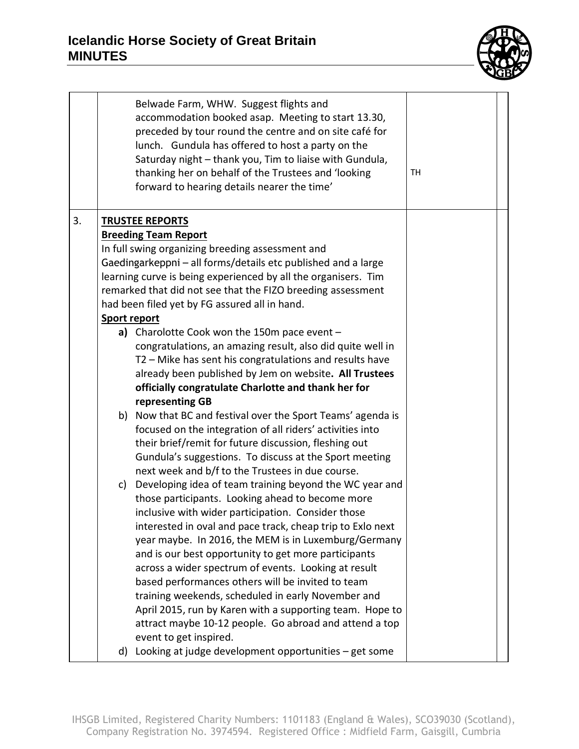

|    |                                                     | Belwade Farm, WHW. Suggest flights and<br>accommodation booked asap. Meeting to start 13.30,<br>preceded by tour round the centre and on site café for<br>lunch. Gundula has offered to host a party on the<br>Saturday night - thank you, Tim to liaise with Gundula,<br>thanking her on behalf of the Trustees and 'looking<br>forward to hearing details nearer the time' | TН |
|----|-----------------------------------------------------|------------------------------------------------------------------------------------------------------------------------------------------------------------------------------------------------------------------------------------------------------------------------------------------------------------------------------------------------------------------------------|----|
| 3. |                                                     | <b>TRUSTEE REPORTS</b>                                                                                                                                                                                                                                                                                                                                                       |    |
|    |                                                     | <b>Breeding Team Report</b>                                                                                                                                                                                                                                                                                                                                                  |    |
|    |                                                     | In full swing organizing breeding assessment and                                                                                                                                                                                                                                                                                                                             |    |
|    |                                                     | Gaedingarkeppni - all forms/details etc published and a large<br>learning curve is being experienced by all the organisers. Tim                                                                                                                                                                                                                                              |    |
|    |                                                     | remarked that did not see that the FIZO breeding assessment                                                                                                                                                                                                                                                                                                                  |    |
|    |                                                     | had been filed yet by FG assured all in hand.                                                                                                                                                                                                                                                                                                                                |    |
|    | <b>Sport report</b>                                 |                                                                                                                                                                                                                                                                                                                                                                              |    |
|    |                                                     | a) Charolotte Cook won the 150m pace event -                                                                                                                                                                                                                                                                                                                                 |    |
|    |                                                     | congratulations, an amazing result, also did quite well in                                                                                                                                                                                                                                                                                                                   |    |
|    |                                                     | T2 - Mike has sent his congratulations and results have                                                                                                                                                                                                                                                                                                                      |    |
|    |                                                     | already been published by Jem on website. All Trustees                                                                                                                                                                                                                                                                                                                       |    |
|    | officially congratulate Charlotte and thank her for |                                                                                                                                                                                                                                                                                                                                                                              |    |
|    |                                                     | representing GB<br>b) Now that BC and festival over the Sport Teams' agenda is                                                                                                                                                                                                                                                                                               |    |
|    |                                                     | focused on the integration of all riders' activities into                                                                                                                                                                                                                                                                                                                    |    |
|    |                                                     | their brief/remit for future discussion, fleshing out                                                                                                                                                                                                                                                                                                                        |    |
|    |                                                     | Gundula's suggestions. To discuss at the Sport meeting                                                                                                                                                                                                                                                                                                                       |    |
|    |                                                     | next week and b/f to the Trustees in due course.                                                                                                                                                                                                                                                                                                                             |    |
|    | c)                                                  | Developing idea of team training beyond the WC year and                                                                                                                                                                                                                                                                                                                      |    |
|    |                                                     | those participants. Looking ahead to become more                                                                                                                                                                                                                                                                                                                             |    |
|    |                                                     | inclusive with wider participation. Consider those                                                                                                                                                                                                                                                                                                                           |    |
|    |                                                     | interested in oval and pace track, cheap trip to Exlo next                                                                                                                                                                                                                                                                                                                   |    |
|    |                                                     | year maybe. In 2016, the MEM is in Luxemburg/Germany                                                                                                                                                                                                                                                                                                                         |    |
|    |                                                     | and is our best opportunity to get more participants                                                                                                                                                                                                                                                                                                                         |    |
|    |                                                     | across a wider spectrum of events. Looking at result                                                                                                                                                                                                                                                                                                                         |    |
|    |                                                     | based performances others will be invited to team                                                                                                                                                                                                                                                                                                                            |    |
|    |                                                     | training weekends, scheduled in early November and<br>April 2015, run by Karen with a supporting team. Hope to                                                                                                                                                                                                                                                               |    |
|    |                                                     | attract maybe 10-12 people. Go abroad and attend a top                                                                                                                                                                                                                                                                                                                       |    |
|    |                                                     | event to get inspired.                                                                                                                                                                                                                                                                                                                                                       |    |
|    | d)                                                  | Looking at judge development opportunities $-$ get some                                                                                                                                                                                                                                                                                                                      |    |